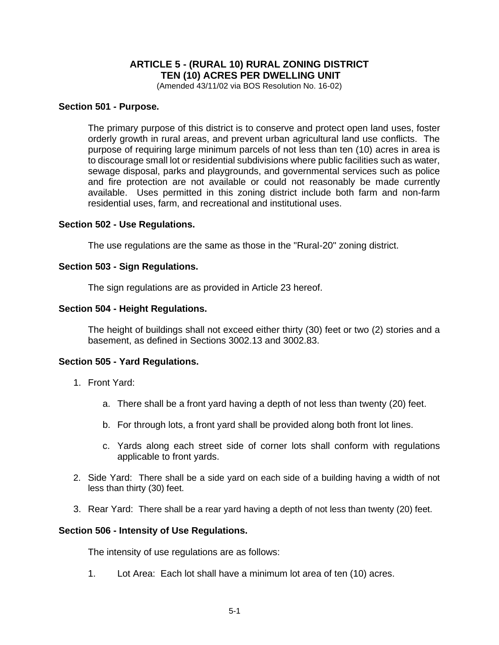# **ARTICLE 5 - (RURAL 10) RURAL ZONING DISTRICT TEN (10) ACRES PER DWELLING UNIT**

(Amended 43/11/02 via BOS Resolution No. 16-02)

### **Section 501 - Purpose.**

The primary purpose of this district is to conserve and protect open land uses, foster orderly growth in rural areas, and prevent urban agricultural land use conflicts. The purpose of requiring large minimum parcels of not less than ten (10) acres in area is to discourage small lot or residential subdivisions where public facilities such as water, sewage disposal, parks and playgrounds, and governmental services such as police and fire protection are not available or could not reasonably be made currently available. Uses permitted in this zoning district include both farm and non-farm residential uses, farm, and recreational and institutional uses.

### **Section 502 - Use Regulations.**

The use regulations are the same as those in the "Rural-20" zoning district.

### **Section 503 - Sign Regulations.**

The sign regulations are as provided in Article 23 hereof.

### **Section 504 - Height Regulations.**

The height of buildings shall not exceed either thirty (30) feet or two (2) stories and a basement, as defined in Sections 3002.13 and 3002.83.

### **Section 505 - Yard Regulations.**

- 1. Front Yard:
	- a. There shall be a front yard having a depth of not less than twenty (20) feet.
	- b. For through lots, a front yard shall be provided along both front lot lines.
	- c. Yards along each street side of corner lots shall conform with regulations applicable to front yards.
- 2. Side Yard: There shall be a side yard on each side of a building having a width of not less than thirty (30) feet.
- 3. Rear Yard: There shall be a rear yard having a depth of not less than twenty (20) feet.

#### **Section 506 - Intensity of Use Regulations.**

The intensity of use regulations are as follows:

1. Lot Area: Each lot shall have a minimum lot area of ten (10) acres.